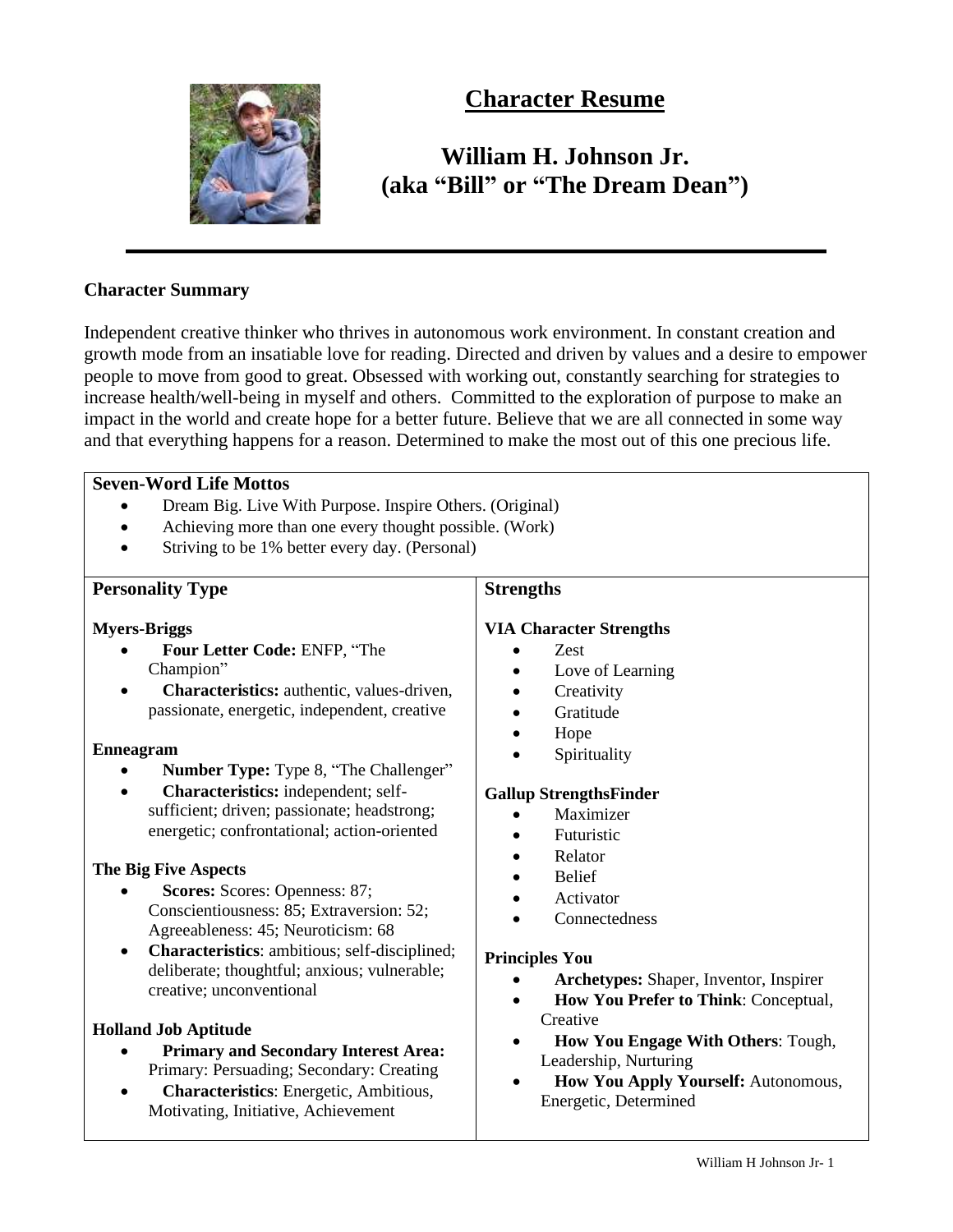

## **Character Resume**

# **William H. Johnson Jr. (aka "Bill" or "The Dream Dean")**

### **Character Summary**

Independent creative thinker who thrives in autonomous work environment. In constant creation and growth mode from an insatiable love for reading. Directed and driven by values and a desire to empower people to move from good to great. Obsessed with working out, constantly searching for strategies to increase health/well-being in myself and others. Committed to the exploration of purpose to make an impact in the world and create hope for a better future. Believe that we are all connected in some way and that everything happens for a reason. Determined to make the most out of this one precious life.

### **Seven-Word Life Mottos**

- Dream Big. Live With Purpose. Inspire Others. (Original)
- Achieving more than one every thought possible. (Work)
- Striving to be 1% better every day. (Personal)

#### **Personality Type Myers-Briggs** • **Four Letter Code:** ENFP, "The Champion" • **Characteristics:** authentic, values-driven, passionate, energetic, independent, creative **Enneagram** • **Number Type:** Type 8, "The Challenger" • **Characteristics:** independent; selfsufficient; driven; passionate; headstrong; energetic; confrontational; action-oriented **The Big Five Aspects** • **Scores:** Scores: Openness: 87; Conscientiousness: 85; Extraversion: 52; Agreeableness: 45; Neuroticism: 68 • **Characteristics**: ambitious; self-disciplined; deliberate; thoughtful; anxious; vulnerable; creative; unconventional **Holland Job Aptitude** • **Primary and Secondary Interest Area:**  Primary: Persuading; Secondary: Creating • **Characteristics**: Energetic, Ambitious, Motivating, Initiative, Achievement **Strengths VIA Character Strengths** • Zest • Love of Learning • Creativity • Gratitude • Hope **Spirituality Gallup StrengthsFinder** • Maximizer • Futuristic • Relator • Belief **Activator Connectedness Principles You** • **Archetypes:** Shaper, Inventor, Inspirer • **How You Prefer to Think**: Conceptual, **Creative** • **How You Engage With Others**: Tough, Leadership, Nurturing • **How You Apply Yourself:** Autonomous, Energetic, Determined